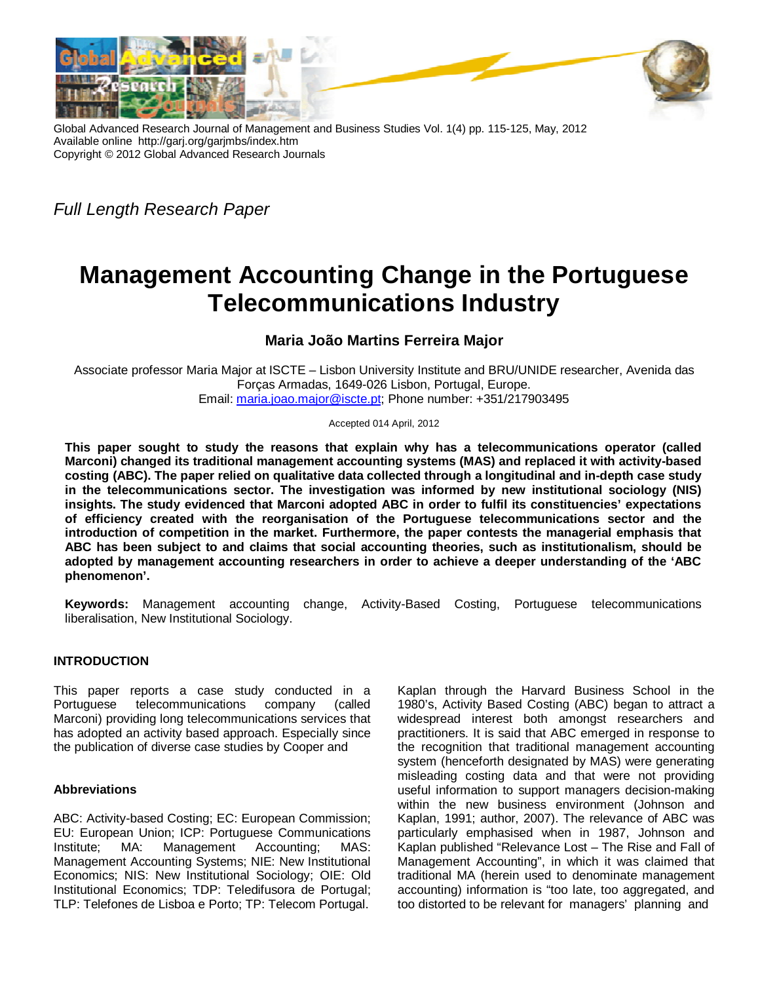

Global Advanced Research Journal of Management and Business Studies Vol. 1(4) pp. 115-125, May, 2012 Available online http://garj.org/garjmbs/index.htm Copyright © 2012 Global Advanced Research Journals

*Full Length Research Paper*

# **Management Accounting Change in the Portuguese Telecommunications Industry**

# **Maria João Martins Ferreira Major**

Associate professor Maria Major at ISCTE – Lisbon University Institute and BRU/UNIDE researcher, Avenida das Forças Armadas, 1649-026 Lisbon, Portugal, Europe. Email: maria.joao.major@iscte.pt; Phone number: +351/217903495

Accepted 014 April, 2012

**This paper sought to study the reasons that explain why has a telecommunications operator (called Marconi) changed its traditional management accounting systems (MAS) and replaced it with activity-based costing (ABC). The paper relied on qualitative data collected through a longitudinal and in-depth case study in the telecommunications sector. The investigation was informed by new institutional sociology (NIS) insights. The study evidenced that Marconi adopted ABC in order to fulfil its constituencies' expectations of efficiency created with the reorganisation of the Portuguese telecommunications sector and the introduction of competition in the market. Furthermore, the paper contests the managerial emphasis that ABC has been subject to and claims that social accounting theories, such as institutionalism, should be adopted by management accounting researchers in order to achieve a deeper understanding of the 'ABC phenomenon'.**

**Keywords:** Management accounting change, Activity-Based Costing, Portuguese telecommunications liberalisation, New Institutional Sociology.

# **INTRODUCTION**

This paper reports a case study conducted in a Portuguese telecommunications company (called Marconi) providing long telecommunications services that has adopted an activity based approach. Especially since the publication of diverse case studies by Cooper and

# **Abbreviations**

ABC: Activity-based Costing; EC: European Commission; EU: European Union; ICP: Portuguese Communications<br>Institute: MA: Management Accounting; MAS: Institute; MA: Management Accounting; Management Accounting Systems; NIE: New Institutional Economics; NIS: New Institutional Sociology; OIE: Old Institutional Economics; TDP: Teledifusora de Portugal; TLP: Telefones de Lisboa e Porto; TP: Telecom Portugal.

Kaplan through the Harvard Business School in the 1980's, Activity Based Costing (ABC) began to attract a widespread interest both amongst researchers and practitioners. It is said that ABC emerged in response to the recognition that traditional management accounting system (henceforth designated by MAS) were generating misleading costing data and that were not providing useful information to support managers decision-making within the new business environment (Johnson and Kaplan, 1991; author, 2007). The relevance of ABC was particularly emphasised when in 1987, Johnson and Kaplan published "Relevance Lost – The Rise and Fall of Management Accounting", in which it was claimed that traditional MA (herein used to denominate management accounting) information is "too late, too aggregated, and too distorted to be relevant for managers' planning and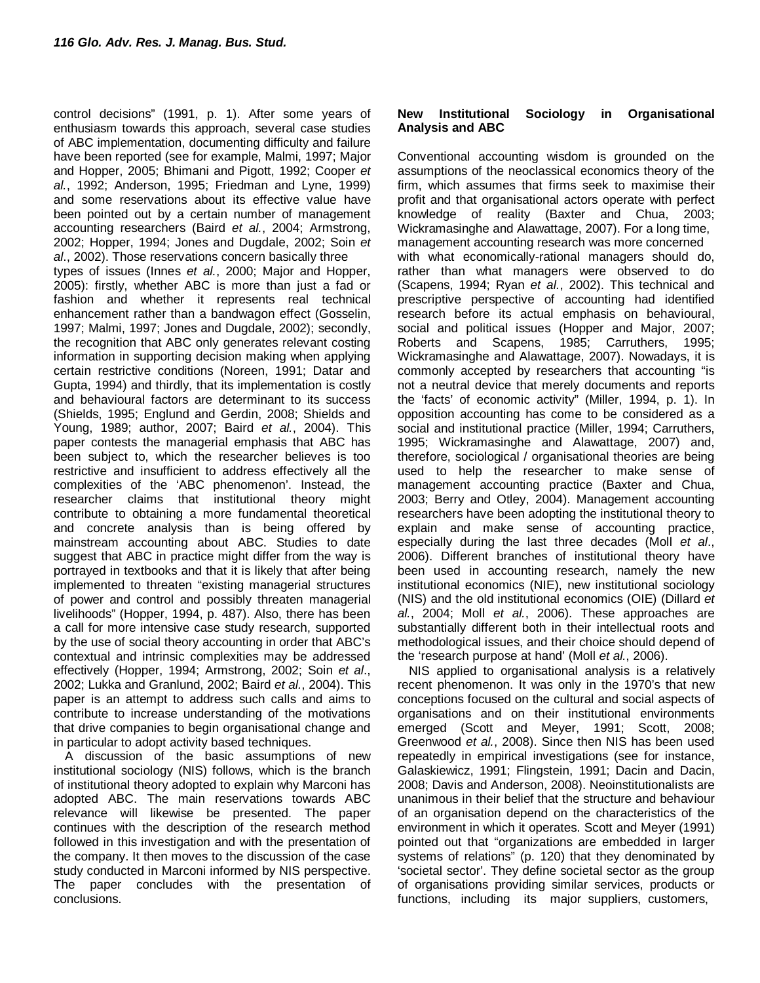control decisions" (1991, p. 1). After some years of enthusiasm towards this approach, several case studies of ABC implementation, documenting difficulty and failure have been reported (see for example, Malmi, 1997; Major and Hopper, 2005; Bhimani and Pigott, 1992; Cooper *et al.*, 1992; Anderson, 1995; Friedman and Lyne, 1999) and some reservations about its effective value have been pointed out by a certain number of management accounting researchers (Baird *et al.*, 2004; Armstrong, 2002; Hopper, 1994; Jones and Dugdale, 2002; Soin *et al*., 2002). Those reservations concern basically three types of issues (Innes *et al.*, 2000; Major and Hopper, 2005): firstly, whether ABC is more than just a fad or fashion and whether it represents real technical enhancement rather than a bandwagon effect (Gosselin, 1997; Malmi, 1997; Jones and Dugdale, 2002); secondly, the recognition that ABC only generates relevant costing information in supporting decision making when applying certain restrictive conditions (Noreen, 1991; Datar and Gupta, 1994) and thirdly, that its implementation is costly and behavioural factors are determinant to its success (Shields, 1995; Englund and Gerdin, 2008; Shields and Young, 1989; author, 2007; Baird *et al.*, 2004). This paper contests the managerial emphasis that ABC has been subject to, which the researcher believes is too restrictive and insufficient to address effectively all the complexities of the 'ABC phenomenon'. Instead, the researcher claims that institutional theory might contribute to obtaining a more fundamental theoretical and concrete analysis than is being offered by mainstream accounting about ABC. Studies to date suggest that ABC in practice might differ from the way is portrayed in textbooks and that it is likely that after being implemented to threaten "existing managerial structures of power and control and possibly threaten managerial livelihoods" (Hopper, 1994, p. 487). Also, there has been a call for more intensive case study research, supported by the use of social theory accounting in order that ABC's contextual and intrinsic complexities may be addressed effectively (Hopper, 1994; Armstrong, 2002; Soin *et al*., 2002; Lukka and Granlund, 2002; Baird *et al.*, 2004). This paper is an attempt to address such calls and aims to contribute to increase understanding of the motivations that drive companies to begin organisational change and in particular to adopt activity based techniques.

A discussion of the basic assumptions of new institutional sociology (NIS) follows, which is the branch of institutional theory adopted to explain why Marconi has adopted ABC. The main reservations towards ABC relevance will likewise be presented. The paper continues with the description of the research method followed in this investigation and with the presentation of the company. It then moves to the discussion of the case study conducted in Marconi informed by NIS perspective. The paper concludes with the presentation of conclusions.

#### **New Institutional Sociology in Organisational Analysis and ABC**

Conventional accounting wisdom is grounded on the assumptions of the neoclassical economics theory of the firm, which assumes that firms seek to maximise their profit and that organisational actors operate with perfect knowledge of reality (Baxter and Chua, 2003; Wickramasinghe and Alawattage, 2007). For a long time, management accounting research was more concerned with what economically-rational managers should do, rather than what managers were observed to do (Scapens, 1994; Ryan *et al.*, 2002). This technical and prescriptive perspective of accounting had identified research before its actual emphasis on behavioural, social and political issues (Hopper and Major, 2007;<br>Roberts and Scapens, 1985; Carruthers, 1995; Roberts and Scapens, 1985; Carruthers, 1995; Wickramasinghe and Alawattage, 2007). Nowadays, it is commonly accepted by researchers that accounting "is not a neutral device that merely documents and reports the 'facts' of economic activity" (Miller, 1994, p. 1). In opposition accounting has come to be considered as a social and institutional practice (Miller, 1994; Carruthers, 1995; Wickramasinghe and Alawattage, 2007) and, therefore, sociological / organisational theories are being used to help the researcher to make sense of management accounting practice (Baxter and Chua, 2003; Berry and Otley, 2004). Management accounting researchers have been adopting the institutional theory to explain and make sense of accounting practice, especially during the last three decades (Moll *et al*., 2006). Different branches of institutional theory have been used in accounting research, namely the new institutional economics (NIE), new institutional sociology (NIS) and the old institutional economics (OIE) (Dillard *et al.*, 2004; Moll *et al.*, 2006). These approaches are substantially different both in their intellectual roots and methodological issues, and their choice should depend of the 'research purpose at hand' (Moll *et al.*, 2006).

NIS applied to organisational analysis is a relatively recent phenomenon. It was only in the 1970's that new conceptions focused on the cultural and social aspects of organisations and on their institutional environments emerged (Scott and Meyer, 1991; Scott, 2008; Greenwood *et al.*, 2008). Since then NIS has been used repeatedly in empirical investigations (see for instance, Galaskiewicz, 1991; Flingstein, 1991; Dacin and Dacin, 2008; Davis and Anderson, 2008). Neoinstitutionalists are unanimous in their belief that the structure and behaviour of an organisation depend on the characteristics of the environment in which it operates. Scott and Meyer (1991) pointed out that "organizations are embedded in larger systems of relations" (p. 120) that they denominated by 'societal sector'. They define societal sector as the group of organisations providing similar services, products or functions, including its major suppliers, customers,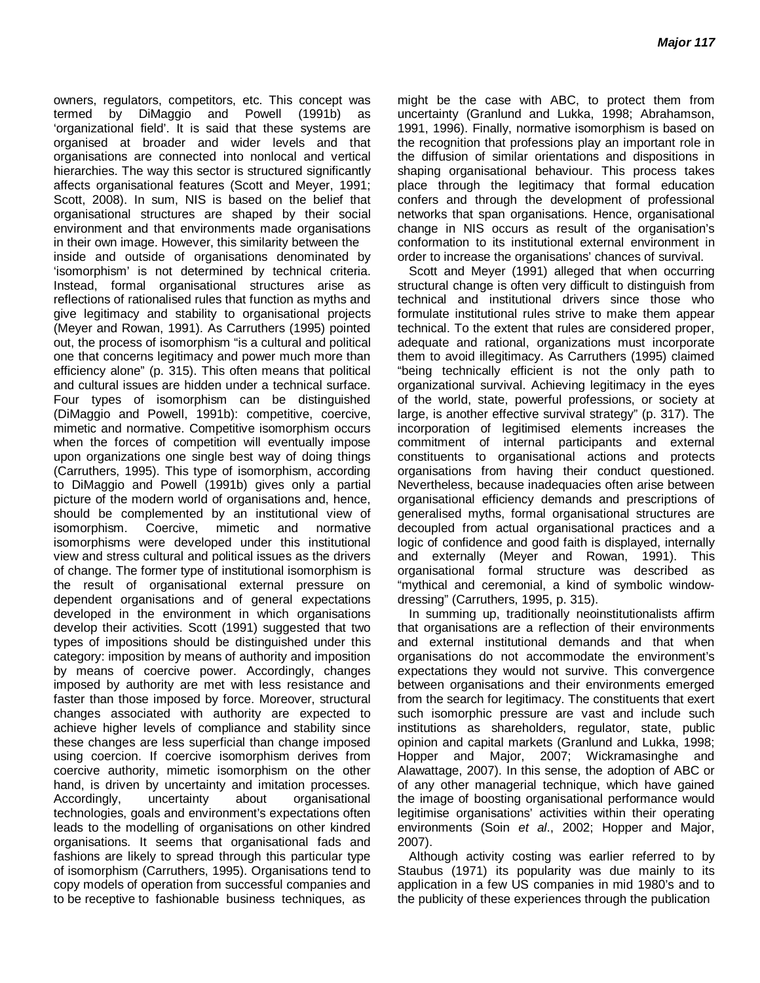owners, regulators, competitors, etc. This concept was termed by DiMaggio and Powell (1991b) as 'organizational field'. It is said that these systems are organised at broader and wider levels and that organisations are connected into nonlocal and vertical hierarchies. The way this sector is structured significantly affects organisational features (Scott and Meyer, 1991; Scott, 2008). In sum, NIS is based on the belief that organisational structures are shaped by their social environment and that environments made organisations in their own image. However, this similarity between the inside and outside of organisations denominated by 'isomorphism' is not determined by technical criteria. Instead, formal organisational structures arise as reflections of rationalised rules that function as myths and give legitimacy and stability to organisational projects (Meyer and Rowan, 1991). As Carruthers (1995) pointed out, the process of isomorphism "is a cultural and political one that concerns legitimacy and power much more than efficiency alone" (p. 315). This often means that political and cultural issues are hidden under a technical surface. Four types of isomorphism can be distinguished (DiMaggio and Powell, 1991b): competitive, coercive, mimetic and normative. Competitive isomorphism occurs when the forces of competition will eventually impose upon organizations one single best way of doing things (Carruthers, 1995). This type of isomorphism, according to DiMaggio and Powell (1991b) gives only a partial picture of the modern world of organisations and, hence, should be complemented by an institutional view of isomorphism. Coercive, mimetic and normative isomorphisms were developed under this institutional view and stress cultural and political issues as the drivers of change. The former type of institutional isomorphism is the result of organisational external pressure on dependent organisations and of general expectations developed in the environment in which organisations develop their activities. Scott (1991) suggested that two types of impositions should be distinguished under this category: imposition by means of authority and imposition by means of coercive power. Accordingly, changes imposed by authority are met with less resistance and faster than those imposed by force. Moreover, structural changes associated with authority are expected to achieve higher levels of compliance and stability since these changes are less superficial than change imposed using coercion. If coercive isomorphism derives from coercive authority, mimetic isomorphism on the other hand, is driven by uncertainty and imitation processes. Accordingly, uncertainty about organisational technologies, goals and environment's expectations often leads to the modelling of organisations on other kindred organisations. It seems that organisational fads and fashions are likely to spread through this particular type of isomorphism (Carruthers, 1995). Organisations tend to copy models of operation from successful companies and to be receptive to fashionable business techniques, as

might be the case with ABC, to protect them from uncertainty (Granlund and Lukka, 1998; Abrahamson, 1991, 1996). Finally, normative isomorphism is based on the recognition that professions play an important role in the diffusion of similar orientations and dispositions in shaping organisational behaviour. This process takes place through the legitimacy that formal education confers and through the development of professional networks that span organisations. Hence, organisational change in NIS occurs as result of the organisation's conformation to its institutional external environment in order to increase the organisations' chances of survival.

Scott and Meyer (1991) alleged that when occurring structural change is often very difficult to distinguish from technical and institutional drivers since those who formulate institutional rules strive to make them appear technical. To the extent that rules are considered proper, adequate and rational, organizations must incorporate them to avoid illegitimacy. As Carruthers (1995) claimed "being technically efficient is not the only path to organizational survival. Achieving legitimacy in the eyes of the world, state, powerful professions, or society at large, is another effective survival strategy" (p. 317). The incorporation of legitimised elements increases the commitment of internal participants and external constituents to organisational actions and protects organisations from having their conduct questioned. Nevertheless, because inadequacies often arise between organisational efficiency demands and prescriptions of generalised myths, formal organisational structures are decoupled from actual organisational practices and a logic of confidence and good faith is displayed, internally and externally (Meyer and Rowan, 1991). This organisational formal structure was described as "mythical and ceremonial, a kind of symbolic windowdressing" (Carruthers, 1995, p. 315).

In summing up, traditionally neoinstitutionalists affirm that organisations are a reflection of their environments and external institutional demands and that when organisations do not accommodate the environment's expectations they would not survive. This convergence between organisations and their environments emerged from the search for legitimacy. The constituents that exert such isomorphic pressure are vast and include such institutions as shareholders, regulator, state, public opinion and capital markets (Granlund and Lukka, 1998; Hopper and Major, 2007; Wickramasinghe and Alawattage, 2007). In this sense, the adoption of ABC or of any other managerial technique, which have gained the image of boosting organisational performance would legitimise organisations' activities within their operating environments (Soin *et al*., 2002; Hopper and Major, 2007).

Although activity costing was earlier referred to by Staubus (1971) its popularity was due mainly to its application in a few US companies in mid 1980's and to the publicity of these experiences through the publication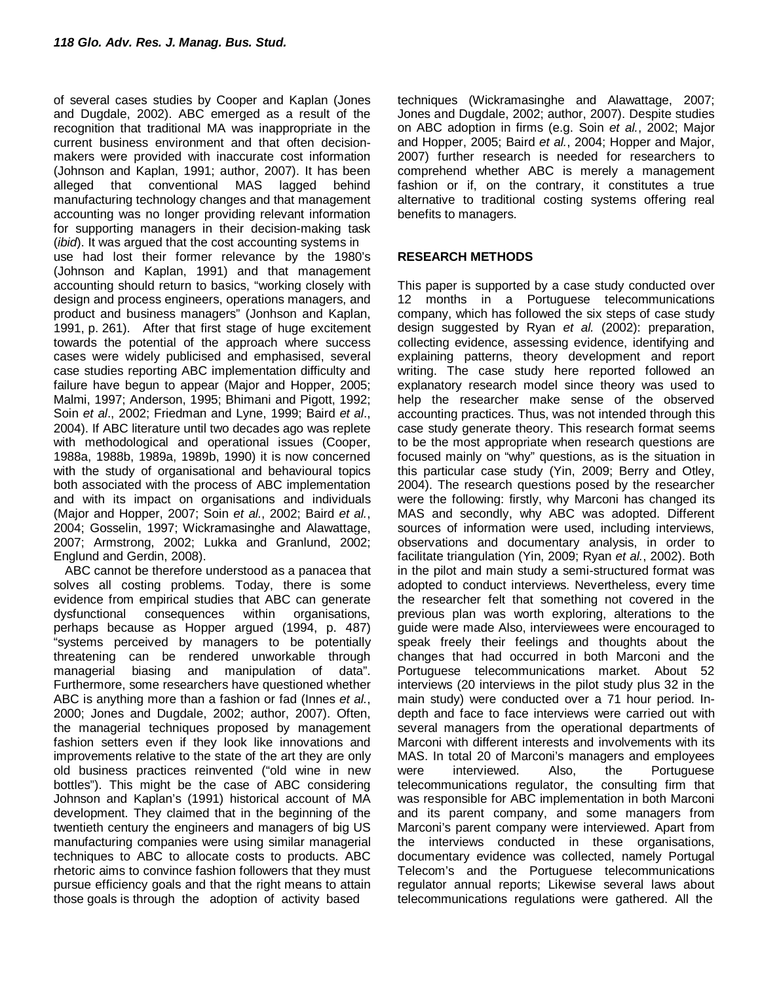of several cases studies by Cooper and Kaplan (Jones and Dugdale, 2002). ABC emerged as a result of the recognition that traditional MA was inappropriate in the current business environment and that often decisionmakers were provided with inaccurate cost information (Johnson and Kaplan, 1991; author, 2007). It has been alleged that conventional MAS lagged behind manufacturing technology changes and that management accounting was no longer providing relevant information for supporting managers in their decision-making task (*ibid*). It was argued that the cost accounting systems in use had lost their former relevance by the 1980's (Johnson and Kaplan, 1991) and that management accounting should return to basics, "working closely with design and process engineers, operations managers, and product and business managers" (Jonhson and Kaplan, 1991, p. 261). After that first stage of huge excitement towards the potential of the approach where success cases were widely publicised and emphasised, several case studies reporting ABC implementation difficulty and failure have begun to appear (Major and Hopper, 2005; Malmi, 1997; Anderson, 1995; Bhimani and Pigott, 1992; Soin *et al*., 2002; Friedman and Lyne, 1999; Baird *et al*., 2004). If ABC literature until two decades ago was replete with methodological and operational issues (Cooper, 1988a, 1988b, 1989a, 1989b, 1990) it is now concerned with the study of organisational and behavioural topics both associated with the process of ABC implementation and with its impact on organisations and individuals (Major and Hopper, 2007; Soin *et al.*, 2002; Baird *et al.*, 2004; Gosselin, 1997; Wickramasinghe and Alawattage, 2007; Armstrong, 2002; Lukka and Granlund, 2002; Englund and Gerdin, 2008).

ABC cannot be therefore understood as a panacea that solves all costing problems. Today, there is some evidence from empirical studies that ABC can generate dysfunctional consequences within organisations, perhaps because as Hopper argued (1994, p. 487) "systems perceived by managers to be potentially threatening can be rendered unworkable through managerial biasing and manipulation of data". Furthermore, some researchers have questioned whether ABC is anything more than a fashion or fad (Innes *et al.*, 2000; Jones and Dugdale, 2002; author, 2007). Often, the managerial techniques proposed by management fashion setters even if they look like innovations and improvements relative to the state of the art they are only old business practices reinvented ("old wine in new bottles"). This might be the case of ABC considering Johnson and Kaplan's (1991) historical account of MA development. They claimed that in the beginning of the twentieth century the engineers and managers of big US manufacturing companies were using similar managerial techniques to ABC to allocate costs to products. ABC rhetoric aims to convince fashion followers that they must pursue efficiency goals and that the right means to attain those goals is through the adoption of activity based

techniques (Wickramasinghe and Alawattage, 2007; Jones and Dugdale, 2002; author, 2007). Despite studies on ABC adoption in firms (e.g. Soin *et al.*, 2002; Major and Hopper, 2005; Baird *et al.*, 2004; Hopper and Major, 2007) further research is needed for researchers to comprehend whether ABC is merely a management fashion or if, on the contrary, it constitutes a true alternative to traditional costing systems offering real benefits to managers.

### **RESEARCH METHODS**

This paper is supported by a case study conducted over 12 months in a Portuguese telecommunications company, which has followed the six steps of case study design suggested by Ryan *et al.* (2002): preparation, collecting evidence, assessing evidence, identifying and explaining patterns, theory development and report writing. The case study here reported followed an explanatory research model since theory was used to help the researcher make sense of the observed accounting practices. Thus, was not intended through this case study generate theory. This research format seems to be the most appropriate when research questions are focused mainly on "why" questions, as is the situation in this particular case study (Yin, 2009; Berry and Otley, 2004). The research questions posed by the researcher were the following: firstly, why Marconi has changed its MAS and secondly, why ABC was adopted. Different sources of information were used, including interviews, observations and documentary analysis, in order to facilitate triangulation (Yin, 2009; Ryan *et al.*, 2002). Both in the pilot and main study a semi-structured format was adopted to conduct interviews. Nevertheless, every time the researcher felt that something not covered in the previous plan was worth exploring, alterations to the guide were made Also, interviewees were encouraged to speak freely their feelings and thoughts about the changes that had occurred in both Marconi and the Portuguese telecommunications market. About 52 interviews (20 interviews in the pilot study plus 32 in the main study) were conducted over a 71 hour period. Indepth and face to face interviews were carried out with several managers from the operational departments of Marconi with different interests and involvements with its MAS. In total 20 of Marconi's managers and employees were interviewed. Also, the Portuguese telecommunications regulator, the consulting firm that was responsible for ABC implementation in both Marconi and its parent company, and some managers from Marconi's parent company were interviewed. Apart from the interviews conducted in these organisations, documentary evidence was collected, namely Portugal Telecom's and the Portuguese telecommunications regulator annual reports; Likewise several laws about telecommunications regulations were gathered. All the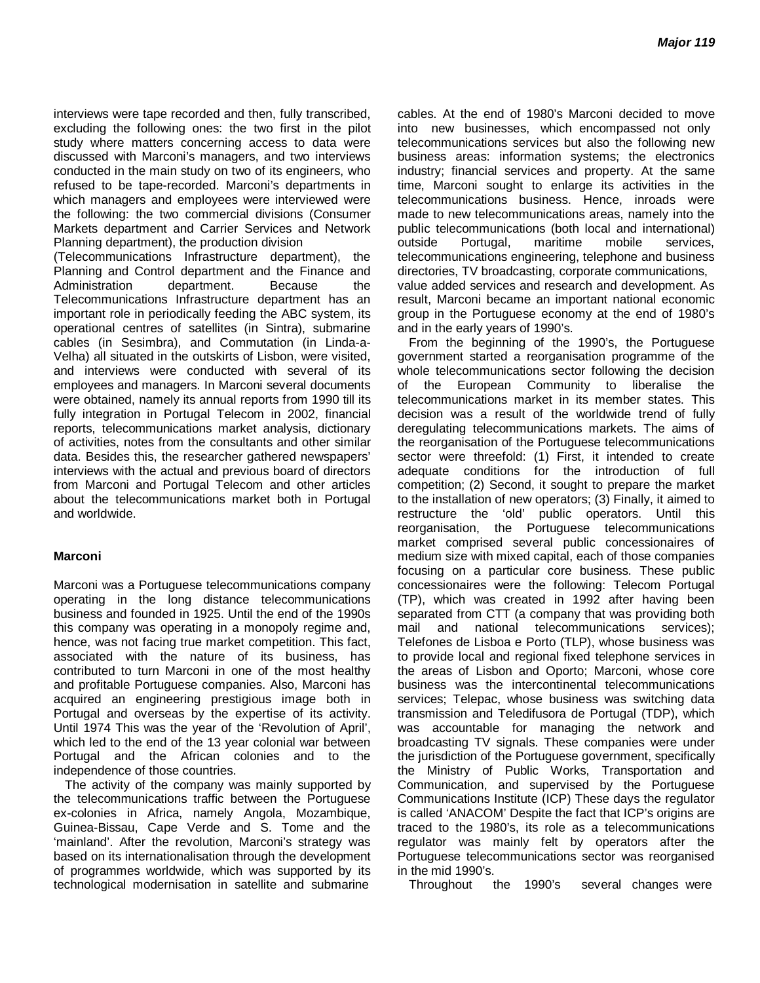interviews were tape recorded and then, fully transcribed, excluding the following ones: the two first in the pilot study where matters concerning access to data were discussed with Marconi's managers, and two interviews conducted in the main study on two of its engineers, who refused to be tape-recorded. Marconi's departments in which managers and employees were interviewed were the following: the two commercial divisions (Consumer Markets department and Carrier Services and Network Planning department), the production division

(Telecommunications Infrastructure department), the Planning and Control department and the Finance and<br>Administration department. Because the Administration department. Because the Telecommunications Infrastructure department has an important role in periodically feeding the ABC system, its operational centres of satellites (in Sintra), submarine cables (in Sesimbra), and Commutation (in Linda-a-Velha) all situated in the outskirts of Lisbon, were visited, and interviews were conducted with several of its employees and managers. In Marconi several documents were obtained, namely its annual reports from 1990 till its fully integration in Portugal Telecom in 2002, financial reports, telecommunications market analysis, dictionary of activities, notes from the consultants and other similar data. Besides this, the researcher gathered newspapers' interviews with the actual and previous board of directors from Marconi and Portugal Telecom and other articles about the telecommunications market both in Portugal and worldwide.

#### **Marconi**

Marconi was a Portuguese telecommunications company operating in the long distance telecommunications business and founded in 1925. Until the end of the 1990s this company was operating in a monopoly regime and, hence, was not facing true market competition. This fact, associated with the nature of its business, has contributed to turn Marconi in one of the most healthy and profitable Portuguese companies. Also, Marconi has acquired an engineering prestigious image both in Portugal and overseas by the expertise of its activity. Until 1974 This was the year of the 'Revolution of April', which led to the end of the 13 year colonial war between Portugal and the African colonies and to the independence of those countries.

The activity of the company was mainly supported by the telecommunications traffic between the Portuguese ex-colonies in Africa, namely Angola, Mozambique, Guinea-Bissau, Cape Verde and S. Tome and the 'mainland'. After the revolution, Marconi's strategy was based on its internationalisation through the development of programmes worldwide, which was supported by its technological modernisation in satellite and submarine

cables. At the end of 1980's Marconi decided to move into new businesses, which encompassed not only telecommunications services but also the following new business areas: information systems; the electronics industry; financial services and property. At the same time, Marconi sought to enlarge its activities in the telecommunications business. Hence, inroads were made to new telecommunications areas, namely into the public telecommunications (both local and international) outside Portugal, maritime mobile services, telecommunications engineering, telephone and business directories, TV broadcasting, corporate communications, value added services and research and development. As result, Marconi became an important national economic group in the Portuguese economy at the end of 1980's and in the early years of 1990's.

From the beginning of the 1990's, the Portuguese government started a reorganisation programme of the whole telecommunications sector following the decision of the European Community to liberalise the telecommunications market in its member states. This decision was a result of the worldwide trend of fully deregulating telecommunications markets. The aims of the reorganisation of the Portuguese telecommunications sector were threefold: (1) First, it intended to create adequate conditions for the introduction of full competition; (2) Second, it sought to prepare the market to the installation of new operators; (3) Finally, it aimed to restructure the 'old' public operators. Until this reorganisation, the Portuguese telecommunications market comprised several public concessionaires of medium size with mixed capital, each of those companies focusing on a particular core business. These public concessionaires were the following: Telecom Portugal (TP), which was created in 1992 after having been separated from CTT (a company that was providing both mail and national telecommunications services); Telefones de Lisboa e Porto (TLP), whose business was to provide local and regional fixed telephone services in the areas of Lisbon and Oporto; Marconi, whose core business was the intercontinental telecommunications services; Telepac, whose business was switching data transmission and Teledifusora de Portugal (TDP), which was accountable for managing the network and broadcasting TV signals. These companies were under the jurisdiction of the Portuguese government, specifically the Ministry of Public Works, Transportation and Communication, and supervised by the Portuguese Communications Institute (ICP) These days the regulator is called 'ANACOM' Despite the fact that ICP's origins are traced to the 1980's, its role as a telecommunications regulator was mainly felt by operators after the Portuguese telecommunications sector was reorganised in the mid 1990's.

Throughout the 1990's several changes were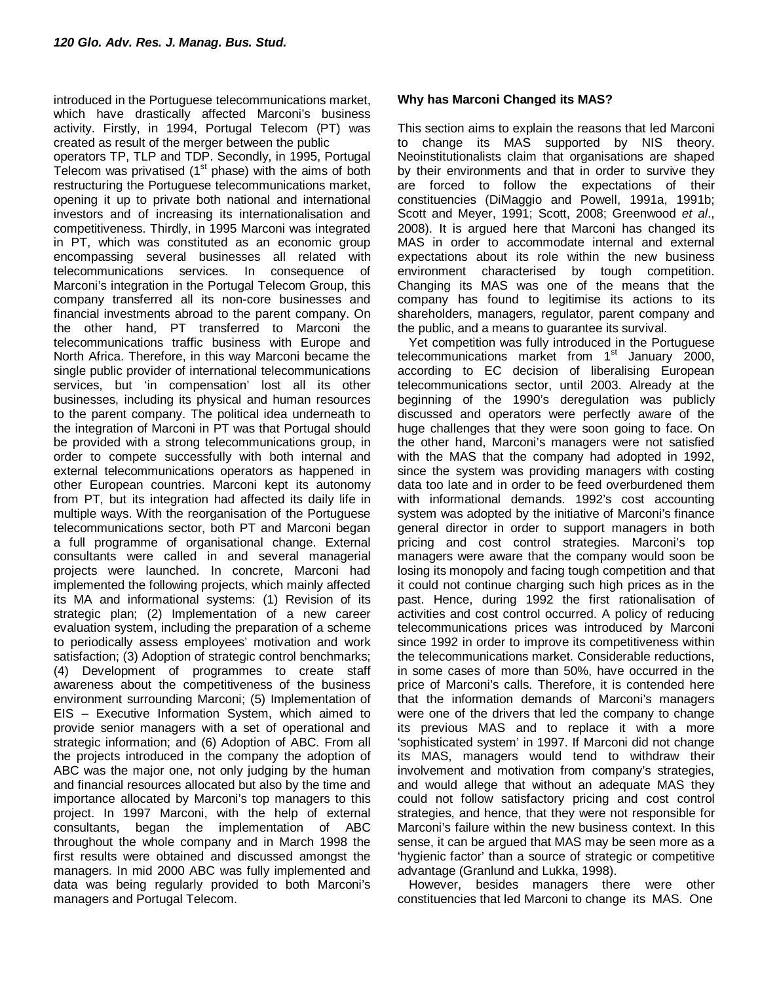introduced in the Portuguese telecommunications market, which have drastically affected Marconi's business activity. Firstly, in 1994, Portugal Telecom (PT) was created as result of the merger between the public

operators TP, TLP and TDP. Secondly, in 1995, Portugal Telecom was privatised ( $1<sup>st</sup>$  phase) with the aims of both restructuring the Portuguese telecommunications market, opening it up to private both national and international investors and of increasing its internationalisation and competitiveness. Thirdly, in 1995 Marconi was integrated in PT, which was constituted as an economic group encompassing several businesses all related with telecommunications services. In consequence of Marconi's integration in the Portugal Telecom Group, this company transferred all its non-core businesses and financial investments abroad to the parent company. On the other hand, PT transferred to Marconi the telecommunications traffic business with Europe and North Africa. Therefore, in this way Marconi became the single public provider of international telecommunications services, but 'in compensation' lost all its other businesses, including its physical and human resources to the parent company. The political idea underneath to the integration of Marconi in PT was that Portugal should be provided with a strong telecommunications group, in order to compete successfully with both internal and external telecommunications operators as happened in other European countries. Marconi kept its autonomy from PT, but its integration had affected its daily life in multiple ways. With the reorganisation of the Portuguese telecommunications sector, both PT and Marconi began a full programme of organisational change. External consultants were called in and several managerial projects were launched. In concrete, Marconi had implemented the following projects, which mainly affected its MA and informational systems: (1) Revision of its strategic plan; (2) Implementation of a new career evaluation system, including the preparation of a scheme to periodically assess employees' motivation and work satisfaction; (3) Adoption of strategic control benchmarks; (4) Development of programmes to create staff awareness about the competitiveness of the business environment surrounding Marconi; (5) Implementation of EIS – Executive Information System, which aimed to provide senior managers with a set of operational and strategic information; and (6) Adoption of ABC. From all the projects introduced in the company the adoption of ABC was the major one, not only judging by the human and financial resources allocated but also by the time and importance allocated by Marconi's top managers to this project. In 1997 Marconi, with the help of external consultants, began the implementation of ABC throughout the whole company and in March 1998 the first results were obtained and discussed amongst the managers. In mid 2000 ABC was fully implemented and data was being regularly provided to both Marconi's managers and Portugal Telecom.

#### **Why has Marconi Changed its MAS?**

This section aims to explain the reasons that led Marconi to change its MAS supported by NIS theory. Neoinstitutionalists claim that organisations are shaped by their environments and that in order to survive they are forced to follow the expectations of their constituencies (DiMaggio and Powell, 1991a, 1991b; Scott and Meyer, 1991; Scott, 2008; Greenwood *et al*., 2008). It is argued here that Marconi has changed its MAS in order to accommodate internal and external expectations about its role within the new business environment characterised by tough competition. Changing its MAS was one of the means that the company has found to legitimise its actions to its shareholders, managers, regulator, parent company and the public, and a means to guarantee its survival.

Yet competition was fully introduced in the Portuguese telecommunications market from  $1<sup>st</sup>$  January 2000, according to EC decision of liberalising European telecommunications sector, until 2003. Already at the beginning of the 1990's deregulation was publicly discussed and operators were perfectly aware of the huge challenges that they were soon going to face. On the other hand, Marconi's managers were not satisfied with the MAS that the company had adopted in 1992, since the system was providing managers with costing data too late and in order to be feed overburdened them with informational demands. 1992's cost accounting system was adopted by the initiative of Marconi's finance general director in order to support managers in both pricing and cost control strategies. Marconi's top managers were aware that the company would soon be losing its monopoly and facing tough competition and that it could not continue charging such high prices as in the past. Hence, during 1992 the first rationalisation of activities and cost control occurred. A policy of reducing telecommunications prices was introduced by Marconi since 1992 in order to improve its competitiveness within the telecommunications market. Considerable reductions, in some cases of more than 50%, have occurred in the price of Marconi's calls. Therefore, it is contended here that the information demands of Marconi's managers were one of the drivers that led the company to change its previous MAS and to replace it with a more 'sophisticated system' in 1997. If Marconi did not change its MAS, managers would tend to withdraw their involvement and motivation from company's strategies, and would allege that without an adequate MAS they could not follow satisfactory pricing and cost control strategies, and hence, that they were not responsible for Marconi's failure within the new business context. In this sense, it can be argued that MAS may be seen more as a 'hygienic factor' than a source of strategic or competitive advantage (Granlund and Lukka, 1998).

However, besides managers there were other constituencies that led Marconi to change its MAS. One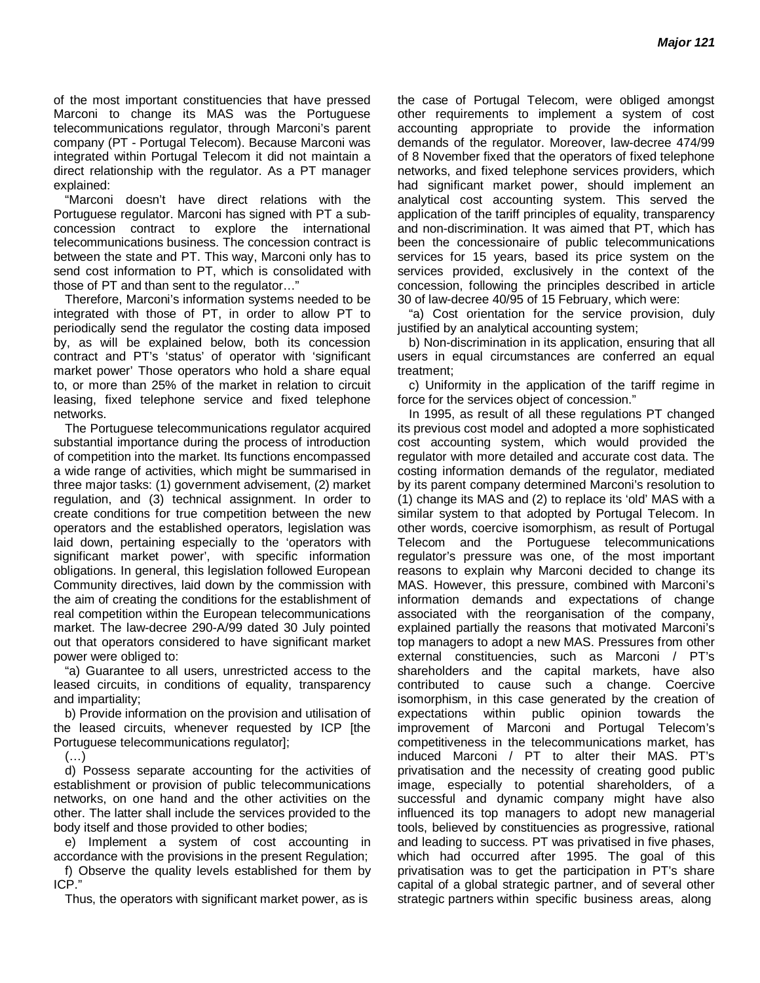of the most important constituencies that have pressed Marconi to change its MAS was the Portuguese telecommunications regulator, through Marconi's parent company (PT - Portugal Telecom). Because Marconi was integrated within Portugal Telecom it did not maintain a direct relationship with the regulator. As a PT manager explained:

"Marconi doesn't have direct relations with the Portuguese regulator. Marconi has signed with PT a subconcession contract to explore the international telecommunications business. The concession contract is between the state and PT. This way, Marconi only has to send cost information to PT, which is consolidated with those of PT and than sent to the regulator…"

Therefore, Marconi's information systems needed to be integrated with those of PT, in order to allow PT to periodically send the regulator the costing data imposed by, as will be explained below, both its concession contract and PT's 'status' of operator with 'significant market power' Those operators who hold a share equal to, or more than 25% of the market in relation to circuit leasing, fixed telephone service and fixed telephone networks.

The Portuguese telecommunications regulator acquired substantial importance during the process of introduction of competition into the market. Its functions encompassed a wide range of activities, which might be summarised in three major tasks: (1) government advisement, (2) market regulation, and (3) technical assignment. In order to create conditions for true competition between the new operators and the established operators, legislation was laid down, pertaining especially to the 'operators with significant market power', with specific information obligations. In general, this legislation followed European Community directives, laid down by the commission with the aim of creating the conditions for the establishment of real competition within the European telecommunications market. The law-decree 290-A/99 dated 30 July pointed out that operators considered to have significant market power were obliged to:

"a) Guarantee to all users, unrestricted access to the leased circuits, in conditions of equality, transparency and impartiality;

b) Provide information on the provision and utilisation of the leased circuits, whenever requested by ICP [the Portuguese telecommunications regulator];

 $(\ldots)$ 

d) Possess separate accounting for the activities of establishment or provision of public telecommunications networks, on one hand and the other activities on the other. The latter shall include the services provided to the body itself and those provided to other bodies;

e) Implement a system of cost accounting in accordance with the provisions in the present Regulation;

f) Observe the quality levels established for them by ICP."

Thus, the operators with significant market power, as is

the case of Portugal Telecom, were obliged amongst other requirements to implement a system of cost accounting appropriate to provide the information demands of the regulator. Moreover, law-decree 474/99 of 8 November fixed that the operators of fixed telephone networks, and fixed telephone services providers, which had significant market power, should implement an analytical cost accounting system. This served the application of the tariff principles of equality, transparency and non-discrimination. It was aimed that PT, which has been the concessionaire of public telecommunications services for 15 years, based its price system on the services provided, exclusively in the context of the concession, following the principles described in article 30 of law-decree 40/95 of 15 February, which were:

"a) Cost orientation for the service provision, duly justified by an analytical accounting system;

b) Non-discrimination in its application, ensuring that all users in equal circumstances are conferred an equal treatment;

c) Uniformity in the application of the tariff regime in force for the services object of concession."

In 1995, as result of all these regulations PT changed its previous cost model and adopted a more sophisticated cost accounting system, which would provided the regulator with more detailed and accurate cost data. The costing information demands of the regulator, mediated by its parent company determined Marconi's resolution to (1) change its MAS and (2) to replace its 'old' MAS with a similar system to that adopted by Portugal Telecom. In other words, coercive isomorphism, as result of Portugal Telecom and the Portuguese telecommunications regulator's pressure was one, of the most important reasons to explain why Marconi decided to change its MAS. However, this pressure, combined with Marconi's information demands and expectations of change associated with the reorganisation of the company, explained partially the reasons that motivated Marconi's top managers to adopt a new MAS. Pressures from other external constituencies, such as Marconi / PT's shareholders and the capital markets, have also contributed to cause such a change. Coercive isomorphism, in this case generated by the creation of expectations within public opinion towards the improvement of Marconi and Portugal Telecom's competitiveness in the telecommunications market, has induced Marconi / PT to alter their MAS. PT's privatisation and the necessity of creating good public image, especially to potential shareholders, of a successful and dynamic company might have also influenced its top managers to adopt new managerial tools, believed by constituencies as progressive, rational and leading to success. PT was privatised in five phases, which had occurred after 1995. The goal of this privatisation was to get the participation in PT's share capital of a global strategic partner, and of several other strategic partners within specific business areas, along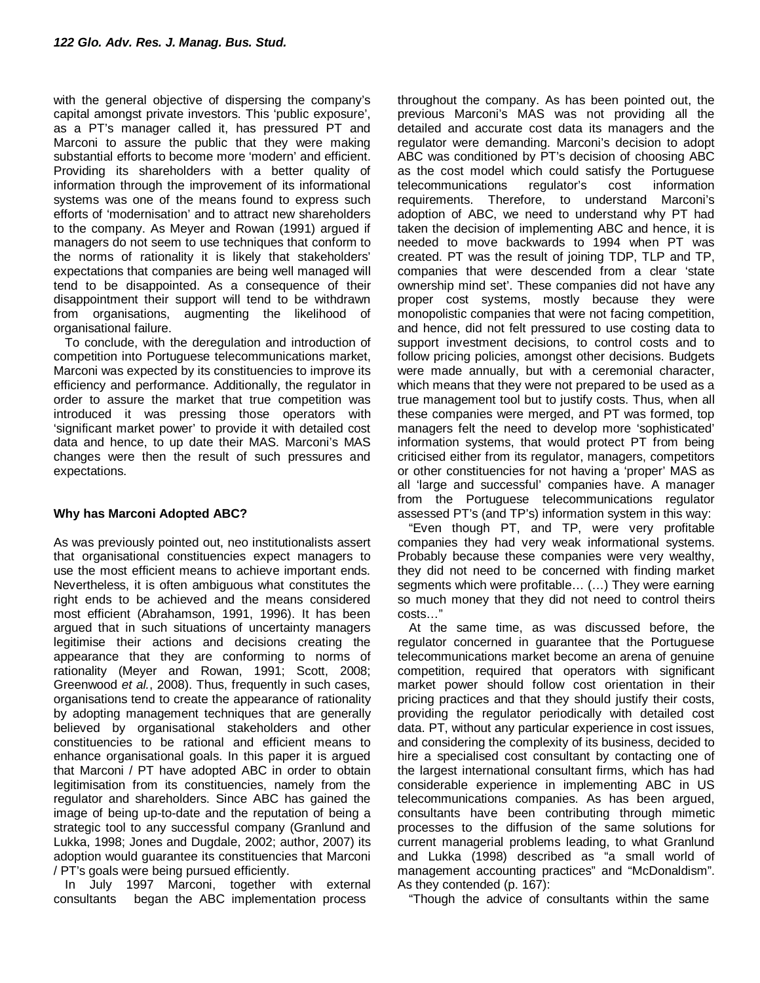with the general objective of dispersing the company's capital amongst private investors. This 'public exposure', as a PT's manager called it, has pressured PT and Marconi to assure the public that they were making substantial efforts to become more 'modern' and efficient. Providing its shareholders with a better quality of information through the improvement of its informational systems was one of the means found to express such efforts of 'modernisation' and to attract new shareholders to the company. As Meyer and Rowan (1991) argued if managers do not seem to use techniques that conform to the norms of rationality it is likely that stakeholders' expectations that companies are being well managed will tend to be disappointed. As a consequence of their disappointment their support will tend to be withdrawn from organisations, augmenting the likelihood of organisational failure.

To conclude, with the deregulation and introduction of competition into Portuguese telecommunications market, Marconi was expected by its constituencies to improve its efficiency and performance. Additionally, the regulator in order to assure the market that true competition was introduced it was pressing those operators with 'significant market power' to provide it with detailed cost data and hence, to up date their MAS. Marconi's MAS changes were then the result of such pressures and expectations.

#### **Why has Marconi Adopted ABC?**

As was previously pointed out, neo institutionalists assert that organisational constituencies expect managers to use the most efficient means to achieve important ends. Nevertheless, it is often ambiguous what constitutes the right ends to be achieved and the means considered most efficient (Abrahamson, 1991, 1996). It has been argued that in such situations of uncertainty managers legitimise their actions and decisions creating the appearance that they are conforming to norms of rationality (Meyer and Rowan, 1991; Scott, 2008; Greenwood *et al.*, 2008). Thus, frequently in such cases, organisations tend to create the appearance of rationality by adopting management techniques that are generally believed by organisational stakeholders and other constituencies to be rational and efficient means to enhance organisational goals. In this paper it is argued that Marconi / PT have adopted ABC in order to obtain legitimisation from its constituencies, namely from the regulator and shareholders. Since ABC has gained the image of being up-to-date and the reputation of being a strategic tool to any successful company (Granlund and Lukka, 1998; Jones and Dugdale, 2002; author, 2007) its adoption would guarantee its constituencies that Marconi / PT's goals were being pursued efficiently.

In July 1997 Marconi, together with external consultants began the ABC implementation process

throughout the company. As has been pointed out, the previous Marconi's MAS was not providing all the detailed and accurate cost data its managers and the regulator were demanding. Marconi's decision to adopt ABC was conditioned by PT's decision of choosing ABC as the cost model which could satisfy the Portuguese telecommunications regulator's cost information requirements. Therefore, to understand Marconi's adoption of ABC, we need to understand why PT had taken the decision of implementing ABC and hence, it is needed to move backwards to 1994 when PT was created. PT was the result of joining TDP, TLP and TP, companies that were descended from a clear 'state ownership mind set'. These companies did not have any proper cost systems, mostly because they were monopolistic companies that were not facing competition, and hence, did not felt pressured to use costing data to support investment decisions, to control costs and to follow pricing policies, amongst other decisions. Budgets were made annually, but with a ceremonial character, which means that they were not prepared to be used as a true management tool but to justify costs. Thus, when all these companies were merged, and PT was formed, top managers felt the need to develop more 'sophisticated' information systems, that would protect PT from being criticised either from its regulator, managers, competitors or other constituencies for not having a 'proper' MAS as all 'large and successful' companies have. A manager from the Portuguese telecommunications regulator assessed PT's (and TP's) information system in this way:

"Even though PT, and TP, were very profitable companies they had very weak informational systems. Probably because these companies were very wealthy, they did not need to be concerned with finding market segments which were profitable… (…) They were earning so much money that they did not need to control theirs costs…"

At the same time, as was discussed before, the regulator concerned in guarantee that the Portuguese telecommunications market become an arena of genuine competition, required that operators with significant market power should follow cost orientation in their pricing practices and that they should justify their costs, providing the regulator periodically with detailed cost data. PT, without any particular experience in cost issues, and considering the complexity of its business, decided to hire a specialised cost consultant by contacting one of the largest international consultant firms, which has had considerable experience in implementing ABC in US telecommunications companies. As has been argued, consultants have been contributing through mimetic processes to the diffusion of the same solutions for current managerial problems leading, to what Granlund and Lukka (1998) described as "a small world of management accounting practices" and "McDonaldism". As they contended (p. 167):

"Though the advice of consultants within the same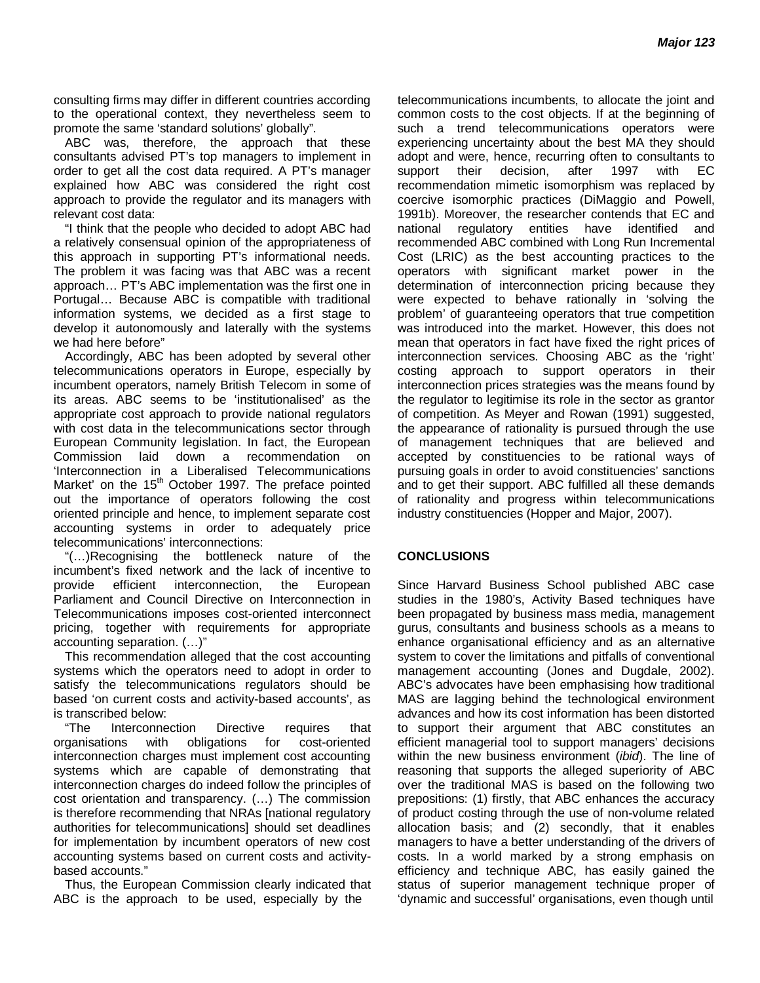consulting firms may differ in different countries according to the operational context, they nevertheless seem to promote the same 'standard solutions' globally".

ABC was, therefore, the approach that these consultants advised PT's top managers to implement in order to get all the cost data required. A PT's manager explained how ABC was considered the right cost approach to provide the regulator and its managers with relevant cost data:

"I think that the people who decided to adopt ABC had a relatively consensual opinion of the appropriateness of this approach in supporting PT's informational needs. The problem it was facing was that ABC was a recent approach… PT's ABC implementation was the first one in Portugal… Because ABC is compatible with traditional information systems, we decided as a first stage to develop it autonomously and laterally with the systems we had here before"

Accordingly, ABC has been adopted by several other telecommunications operators in Europe, especially by incumbent operators, namely British Telecom in some of its areas. ABC seems to be 'institutionalised' as the appropriate cost approach to provide national regulators with cost data in the telecommunications sector through European Community legislation. In fact, the European Commission laid down a recommendation on 'Interconnection in a Liberalised Telecommunications Market' on the 15<sup>th</sup> October 1997. The preface pointed out the importance of operators following the cost oriented principle and hence, to implement separate cost accounting systems in order to adequately price telecommunications' interconnections:

"(…)Recognising the bottleneck nature of the incumbent's fixed network and the lack of incentive to provide efficient interconnection, the European Parliament and Council Directive on Interconnection in Telecommunications imposes cost-oriented interconnect pricing, together with requirements for appropriate accounting separation. (…)"

This recommendation alleged that the cost accounting systems which the operators need to adopt in order to satisfy the telecommunications regulators should be based 'on current costs and activity-based accounts', as is transcribed below:

"The Interconnection Directive requires that organisations with obligations for cost-oriented interconnection charges must implement cost accounting systems which are capable of demonstrating that interconnection charges do indeed follow the principles of cost orientation and transparency. (…) The commission is therefore recommending that NRAs [national regulatory authorities for telecommunications] should set deadlines for implementation by incumbent operators of new cost accounting systems based on current costs and activitybased accounts."

Thus, the European Commission clearly indicated that ABC is the approach to be used, especially by the

telecommunications incumbents, to allocate the joint and common costs to the cost objects. If at the beginning of such a trend telecommunications operators were experiencing uncertainty about the best MA they should adopt and were, hence, recurring often to consultants to support their decision, after 1997 with EC recommendation mimetic isomorphism was replaced by coercive isomorphic practices (DiMaggio and Powell, 1991b). Moreover, the researcher contends that EC and national regulatory entities have identified and recommended ABC combined with Long Run Incremental Cost (LRIC) as the best accounting practices to the operators with significant market power in the determination of interconnection pricing because they were expected to behave rationally in 'solving the problem' of guaranteeing operators that true competition was introduced into the market. However, this does not mean that operators in fact have fixed the right prices of interconnection services. Choosing ABC as the 'right' costing approach to support operators in their interconnection prices strategies was the means found by the regulator to legitimise its role in the sector as grantor of competition. As Meyer and Rowan (1991) suggested, the appearance of rationality is pursued through the use of management techniques that are believed and accepted by constituencies to be rational ways of pursuing goals in order to avoid constituencies' sanctions and to get their support. ABC fulfilled all these demands of rationality and progress within telecommunications industry constituencies (Hopper and Major, 2007).

#### **CONCLUSIONS**

Since Harvard Business School published ABC case studies in the 1980's, Activity Based techniques have been propagated by business mass media, management gurus, consultants and business schools as a means to enhance organisational efficiency and as an alternative system to cover the limitations and pitfalls of conventional management accounting (Jones and Dugdale, 2002). ABC's advocates have been emphasising how traditional MAS are lagging behind the technological environment advances and how its cost information has been distorted to support their argument that ABC constitutes an efficient managerial tool to support managers' decisions within the new business environment (*ibid*). The line of reasoning that supports the alleged superiority of ABC over the traditional MAS is based on the following two prepositions: (1) firstly, that ABC enhances the accuracy of product costing through the use of non-volume related allocation basis; and (2) secondly, that it enables managers to have a better understanding of the drivers of costs. In a world marked by a strong emphasis on efficiency and technique ABC, has easily gained the status of superior management technique proper of 'dynamic and successful' organisations, even though until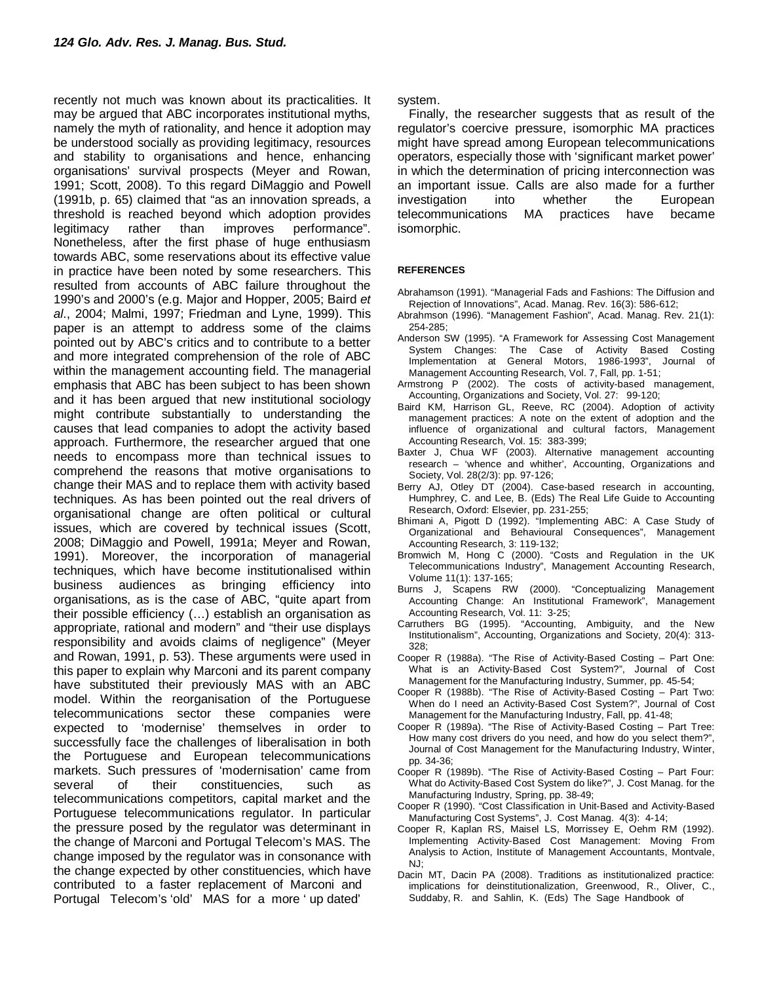recently not much was known about its practicalities. It may be argued that ABC incorporates institutional myths, namely the myth of rationality, and hence it adoption may be understood socially as providing legitimacy, resources and stability to organisations and hence, enhancing organisations' survival prospects (Meyer and Rowan, 1991; Scott, 2008). To this regard DiMaggio and Powell (1991b, p. 65) claimed that "as an innovation spreads, a threshold is reached beyond which adoption provides legitimacy rather than improves performance". Nonetheless, after the first phase of huge enthusiasm towards ABC, some reservations about its effective value in practice have been noted by some researchers. This resulted from accounts of ABC failure throughout the 1990's and 2000's (e.g. Major and Hopper, 2005; Baird *et al*., 2004; Malmi, 1997; Friedman and Lyne, 1999). This paper is an attempt to address some of the claims pointed out by ABC's critics and to contribute to a better and more integrated comprehension of the role of ABC within the management accounting field. The managerial emphasis that ABC has been subject to has been shown and it has been argued that new institutional sociology might contribute substantially to understanding the causes that lead companies to adopt the activity based approach. Furthermore, the researcher argued that one needs to encompass more than technical issues to comprehend the reasons that motive organisations to change their MAS and to replace them with activity based techniques. As has been pointed out the real drivers of organisational change are often political or cultural issues, which are covered by technical issues (Scott, 2008; DiMaggio and Powell, 1991a; Meyer and Rowan, 1991). Moreover, the incorporation of managerial techniques, which have become institutionalised within business audiences as bringing efficiency into organisations, as is the case of ABC, "quite apart from their possible efficiency (…) establish an organisation as appropriate, rational and modern" and "their use displays responsibility and avoids claims of negligence" (Meyer and Rowan, 1991, p. 53). These arguments were used in this paper to explain why Marconi and its parent company have substituted their previously MAS with an ABC model. Within the reorganisation of the Portuguese telecommunications sector these companies were expected to 'modernise' themselves in order to successfully face the challenges of liberalisation in both the Portuguese and European telecommunications markets. Such pressures of 'modernisation' came from several of their constituencies, such as telecommunications competitors, capital market and the Portuguese telecommunications regulator. In particular the pressure posed by the regulator was determinant in the change of Marconi and Portugal Telecom's MAS. The change imposed by the regulator was in consonance with the change expected by other constituencies, which have contributed to a faster replacement of Marconi and Portugal Telecom's 'old' MAS for a more ' up dated'

system.

Finally, the researcher suggests that as result of the regulator's coercive pressure, isomorphic MA practices might have spread among European telecommunications operators, especially those with 'significant market power' in which the determination of pricing interconnection was an important issue. Calls are also made for a further investigation into whether the European telecommunications MA practices have became isomorphic.

#### **REFERENCES**

- Abrahamson (1991). "Managerial Fads and Fashions: The Diffusion and Rejection of Innovations", Acad. Manag. Rev. 16(3): 586-612;
- Abrahmson (1996). "Management Fashion", Acad. Manag. Rev. 21(1): 254-285;
- Anderson SW (1995). "A Framework for Assessing Cost Management System Changes: The Case of Activity Based Costing Implementation at General Motors, 1986-1993", Journal of Management Accounting Research, Vol. 7, Fall, pp. 1-51;
- Armstrong P (2002). The costs of activity-based management, Accounting, Organizations and Society, Vol. 27: 99-120;
- Baird KM, Harrison GL, Reeve, RC (2004). Adoption of activity management practices: A note on the extent of adoption and the influence of organizational and cultural factors, Management Accounting Research, Vol. 15: 383-399;
- Baxter J, Chua WF (2003). Alternative management accounting research – 'whence and whither', Accounting, Organizations and Society, Vol. 28(2/3): pp. 97-126;
- Berry AJ, Otley DT (2004). Case-based research in accounting, Humphrey, C. and Lee, B. (Eds) The Real Life Guide to Accounting Research, Oxford: Elsevier, pp. 231-255;
- Bhimani A, Pigott D (1992). "Implementing ABC: A Case Study of Organizational and Behavioural Consequences", Management Accounting Research, 3: 119-132;
- Bromwich M, Hong C (2000). "Costs and Regulation in the UK Telecommunications Industry", Management Accounting Research, Volume 11(1): 137-165;
- Burns J, Scapens RW (2000). "Conceptualizing Management Accounting Change: An Institutional Framework", Management Accounting Research, Vol. 11: 3-25;
- Carruthers BG (1995). "Accounting, Ambiguity, and the New Institutionalism", Accounting, Organizations and Society, 20(4): 313- 328;
- Cooper R (1988a). "The Rise of Activity-Based Costing Part One: What is an Activity-Based Cost System?", Journal of Cost Management for the Manufacturing Industry, Summer, pp. 45-54;
- Cooper R (1988b). "The Rise of Activity-Based Costing Part Two: When do I need an Activity-Based Cost System?", Journal of Cost Management for the Manufacturing Industry, Fall, pp. 41-48;
- Cooper R (1989a). "The Rise of Activity-Based Costing Part Tree: How many cost drivers do you need, and how do you select them?", Journal of Cost Management for the Manufacturing Industry, Winter, pp. 34-36;
- Cooper R (1989b). "The Rise of Activity-Based Costing Part Four: What do Activity-Based Cost System do like?", J. Cost Manag. for the Manufacturing Industry, Spring, pp. 38-49;
- Cooper R (1990). "Cost Classification in Unit-Based and Activity-Based Manufacturing Cost Systems", J. Cost Manag. 4(3): 4-14;
- Cooper R, Kaplan RS, Maisel LS, Morrissey E, Oehm RM (1992). Implementing Activity-Based Cost Management: Moving From Analysis to Action, Institute of Management Accountants, Montvale, NJ;
- Dacin MT, Dacin PA (2008). Traditions as institutionalized practice: implications for deinstitutionalization, Greenwood, R., Oliver, C., Suddaby, R. and Sahlin, K. (Eds) The Sage Handbook of